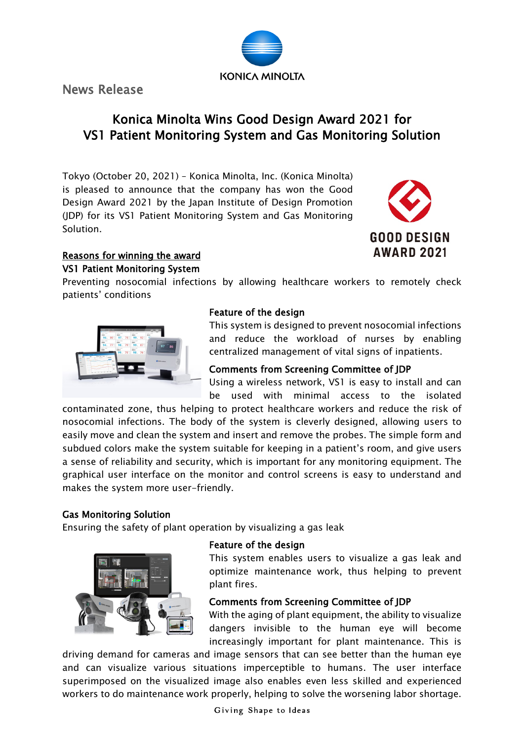News Release

# Konica Minolta Wins Good Design Award 2021 for VS1 Patient Monitoring System and Gas Monitoring Solution

**KONICA MINOLTA** 

Tokyo (October 20, 2021) – Konica Minolta, Inc. (Konica Minolta) is pleased to announce that the company has won the Good Design Award 2021 by the Japan Institute of Design Promotion (JDP) for its VS1 Patient Monitoring System and Gas Monitoring Solution.



# Reasons for winning the award VS1 Patient Monitoring System

Preventing nosocomial infections by allowing healthcare workers to remotely check patients' conditions



# Feature of the design

This system is designed to prevent nosocomial infections and reduce the workload of nurses by enabling centralized management of vital signs of inpatients.

## Comments from Screening Committee of JDP

Using a wireless network, VS1 is easy to install and can be used with minimal access to the isolated

contaminated zone, thus helping to protect healthcare workers and reduce the risk of nosocomial infections. The body of the system is cleverly designed, allowing users to easily move and clean the system and insert and remove the probes. The simple form and subdued colors make the system suitable for keeping in a patient's room, and give users a sense of reliability and security, which is important for any monitoring equipment. The graphical user interface on the monitor and control screens is easy to understand and makes the system more user-friendly.

# Gas Monitoring Solution

Ensuring the safety of plant operation by visualizing a gas leak



## Feature of the design

This system enables users to visualize a gas leak and optimize maintenance work, thus helping to prevent plant fires.

# Comments from Screening Committee of JDP

With the aging of plant equipment, the ability to visualize dangers invisible to the human eye will become increasingly important for plant maintenance. This is

driving demand for cameras and image sensors that can see better than the human eye and can visualize various situations imperceptible to humans. The user interface superimposed on the visualized image also enables even less skilled and experienced workers to do maintenance work properly, helping to solve the worsening labor shortage.